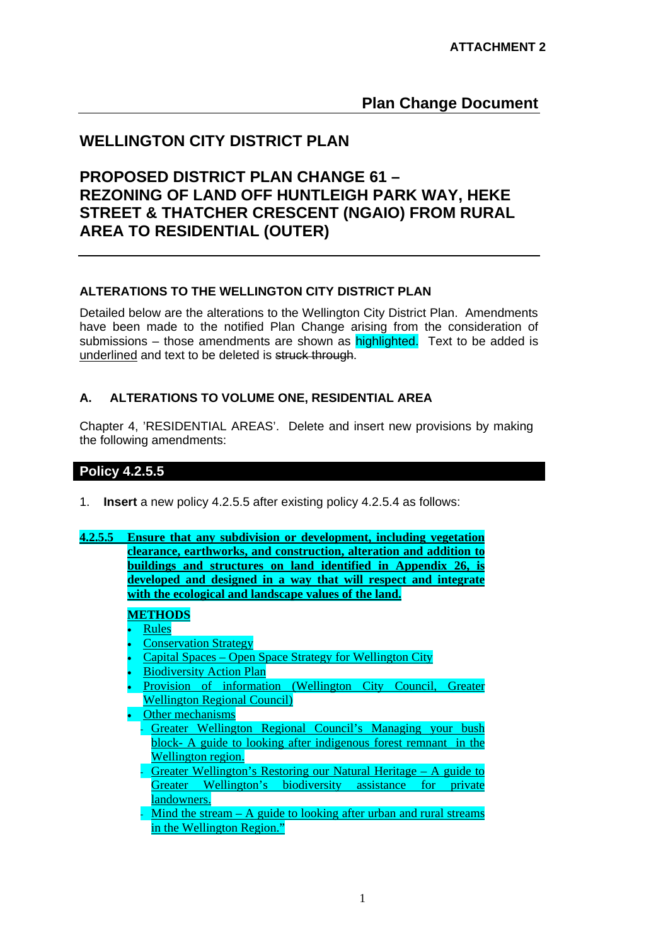# **Plan Change Document**

# **WELLINGTON CITY DISTRICT PLAN**

# **PROPOSED DISTRICT PLAN CHANGE 61 – REZONING OF LAND OFF HUNTLEIGH PARK WAY, HEKE STREET & THATCHER CRESCENT (NGAIO) FROM RURAL AREA TO RESIDENTIAL (OUTER)**

## **ALTERATIONS TO THE WELLINGTON CITY DISTRICT PLAN**

Detailed below are the alterations to the Wellington City District Plan. Amendments have been made to the notified Plan Change arising from the consideration of submissions – those amendments are shown as highlighted. Text to be added is underlined and text to be deleted is struck through.

## **A. ALTERATIONS TO VOLUME ONE, RESIDENTIAL AREA**

Chapter 4, 'RESIDENTIAL AREAS'. Delete and insert new provisions by making the following amendments:

# **Policy 4.2.5.5**

- 1. **Insert** a new policy 4.2.5.5 after existing policy 4.2.5.4 as follows:
- **4.2.5.5 Ensure that any subdivision or development, including vegetation clearance, earthworks, and construction, alteration and addition to buildings and structures on land identified in Appendix 26, is developed and designed in a way that will respect and integrate with the ecological and landscape values of the land.**

#### **METHODS**

- Rules
- **Conservation Strategy**
- Capital Spaces Open Space Strategy for Wellington City
- Biodiversity Action Plan
- Provision of information (Wellington City Council, Greater Wellington Regional Council)
- Other mechanisms
	- Greater Wellington Regional Council's Managing your bush block- A guide to looking after indigenous forest remnant in the Wellington region.
	- Greater Wellington's Restoring our Natural Heritage A guide to Greater Wellington's biodiversity assistance for private landowners.
	- Mind the stream  $A$  guide to looking after urban and rural streams in the Wellington Region."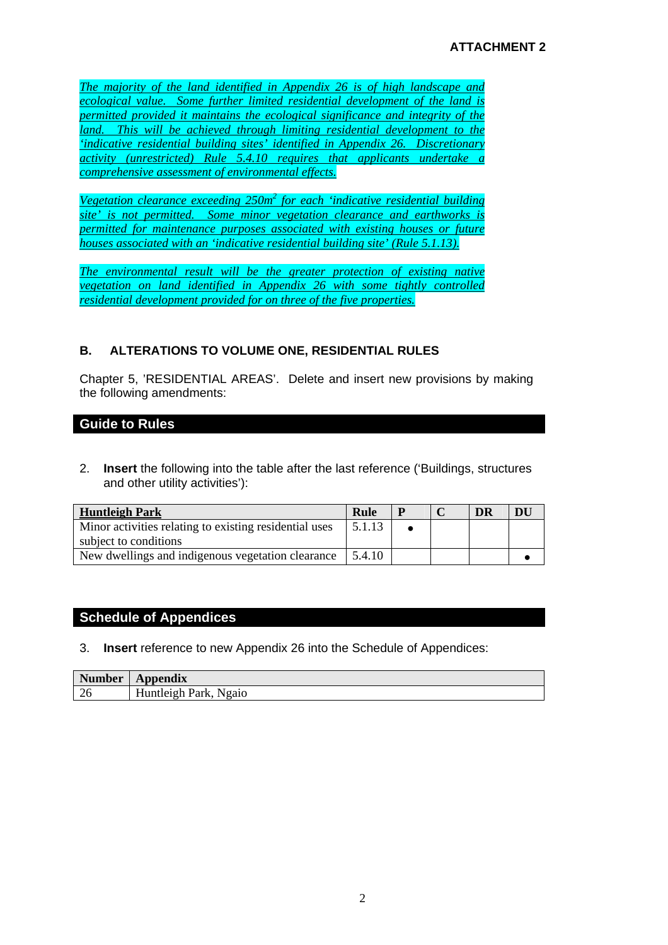*The majority of the land identified in Appendix 26 is of high landscape and ecological value. Some further limited residential development of the land is permitted provided it maintains the ecological significance and integrity of the land. This will be achieved through limiting residential development to the 'indicative residential building sites' identified in Appendix 26. Discretionary activity (unrestricted) Rule 5.4.10 requires that applicants undertake a comprehensive assessment of environmental effects.*

*Vegetation clearance exceeding 250m2 for each 'indicative residential building site' is not permitted. Some minor vegetation clearance and earthworks is permitted for maintenance purposes associated with existing houses or future houses associated with an 'indicative residential building site' (Rule 5.1.13).*

*The environmental result will be the greater protection of existing native vegetation on land identified in Appendix 26 with some tightly controlled residential development provided for on three of the five properties.*

# **B. ALTERATIONS TO VOLUME ONE, RESIDENTIAL RULES**

Chapter 5, 'RESIDENTIAL AREAS'. Delete and insert new provisions by making the following amendments:

# **Guide to Rules**

2. **Insert** the following into the table after the last reference ('Buildings, structures and other utility activities'):

| <b>Huntleigh Park</b>                                  | Rule   | $\mathbf{P}$ | DR | DU |
|--------------------------------------------------------|--------|--------------|----|----|
| Minor activities relating to existing residential uses | 5.1.13 |              |    |    |
| subject to conditions                                  |        |              |    |    |
| New dwellings and indigenous vegetation clearance      | 5.4.10 |              |    |    |

# **Schedule of Appendices**

#### 3. **Insert** reference to new Appendix 26 into the Schedule of Appendices:

| <b>Number</b> | Appendix              |
|---------------|-----------------------|
| 26            | Huntleigh Park, Ngaio |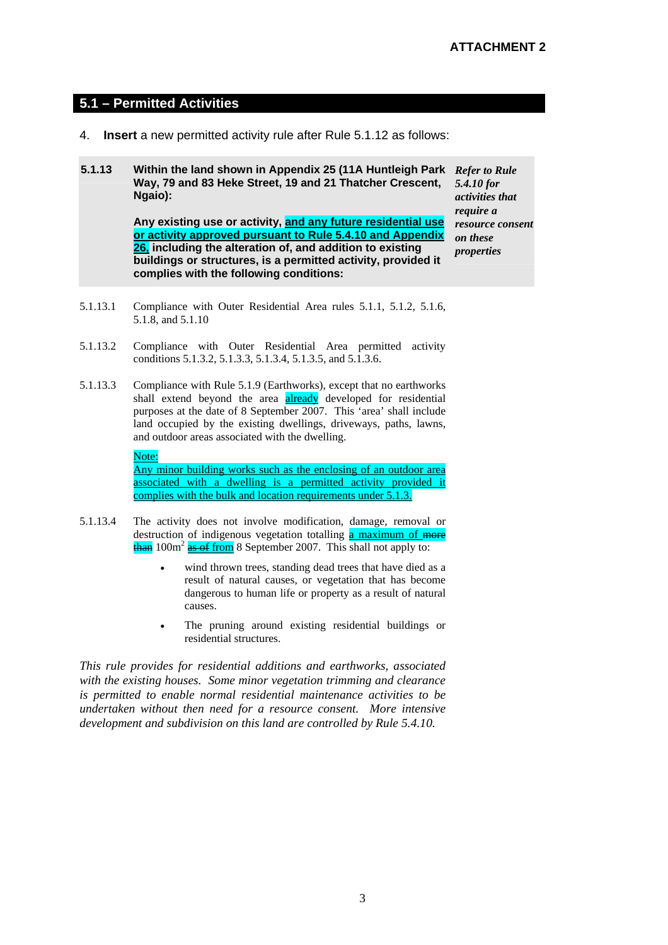#### **5.1 – Permitted Activities**

- 4. **Insert** a new permitted activity rule after Rule 5.1.12 as follows:
- **5.1.13 Within the land shown in Appendix 25 (11A Huntleigh Park**  *Refer to Rule*  **Way, 79 and 83 Heke Street, 19 and 21 Thatcher Crescent, Ngaio):**

**Any existing use or activity, and any future residential use or activity approved pursuant to Rule 5.4.10 and Appendix 26, including the alteration of, and addition to existing buildings or structures, is a permitted activity, provided it complies with the following conditions:** 

*5.4.10 for activities that require a resource consent on these properties* 

- 5.1.13.1 Compliance with Outer Residential Area rules 5.1.1, 5.1.2, 5.1.6, 5.1.8, and 5.1.10
- 5.1.13.2 Compliance with Outer Residential Area permitted activity conditions 5.1.3.2, 5.1.3.3, 5.1.3.4, 5.1.3.5, and 5.1.3.6.
- 5.1.13.3 Compliance with Rule 5.1.9 (Earthworks), except that no earthworks shall extend beyond the area **already** developed for residential purposes at the date of 8 September 2007. This 'area' shall include land occupied by the existing dwellings, driveways, paths, lawns, and outdoor areas associated with the dwelling.

Note: Any minor building works such as the enclosing of an outdoor area associated with a dwelling is a permitted activity provided it complies with the bulk and location requirements under 5.1.3.

- 5.1.13.4 The activity does not involve modification, damage, removal or destruction of indigenous vegetation totalling a maximum of more  $\frac{1}{2}$  than 100m<sup>2</sup> as of from 8 September 2007. This shall not apply to:
	- wind thrown trees, standing dead trees that have died as a result of natural causes, or vegetation that has become dangerous to human life or property as a result of natural causes.
	- The pruning around existing residential buildings or residential structures.

*This rule provides for residential additions and earthworks, associated with the existing houses. Some minor vegetation trimming and clearance is permitted to enable normal residential maintenance activities to be undertaken without then need for a resource consent. More intensive development and subdivision on this land are controlled by Rule 5.4.10.*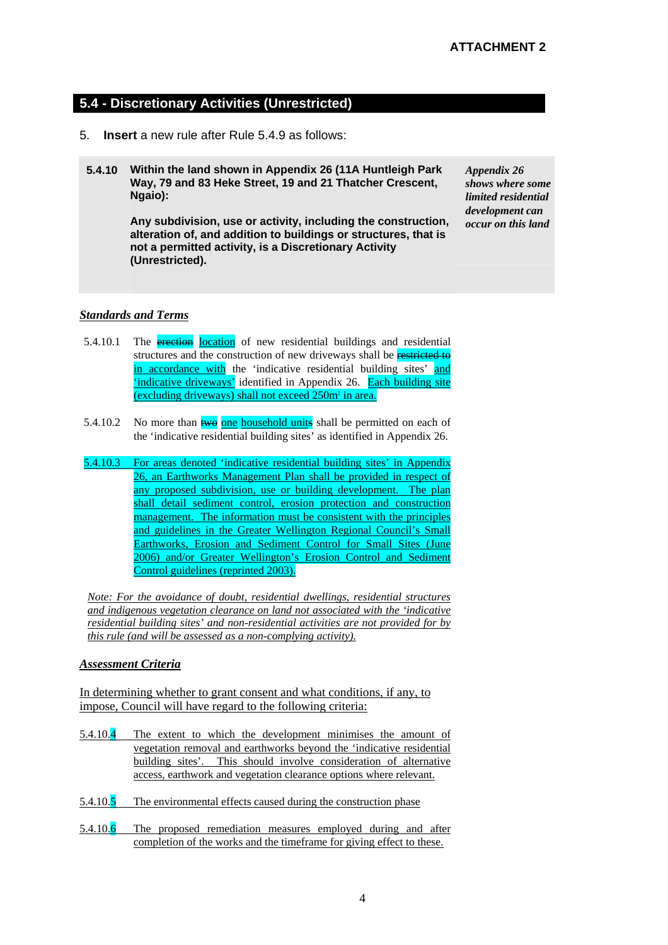#### **5.4 - Discretionary Activities (Unrestricted)**

- 5. **Insert** a new rule after Rule 5.4.9 as follows:
- **5.4.10 Within the land shown in Appendix 26 (11A Huntleigh Park Way, 79 and 83 Heke Street, 19 and 21 Thatcher Crescent, Ngaio):**

**Any subdivision, use or activity, including the construction, alteration of, and addition to buildings or structures, that is not a permitted activity, is a Discretionary Activity (Unrestricted).** 

*Appendix 26 shows where some limited residential development can occur on this land* 

#### *Standards and Terms*

- 5.4.10.1 The **erection** location of new residential buildings and residential structures and the construction of new driveways shall be restricted to in accordance with the 'indicative residential building sites' and 'indicative driveways' identified in Appendix 26. Each building site (excluding driveways) shall not exceed 250m<sup>2</sup> in area.
- 5.4.10.2 No more than  $two$  one household units shall be permitted on each of the 'indicative residential building sites' as identified in Appendix 26.
- 5.4.10.3 For areas denoted 'indicative residential building sites' in Appendix 26, an Earthworks Management Plan shall be provided in respect of any proposed subdivision, use or building development. The plan shall detail sediment control, erosion protection and construction management. The information must be consistent with the principles and guidelines in the Greater Wellington Regional Council's Small Earthworks, Erosion and Sediment Control for Small Sites (June 2006) and/or Greater Wellington's Erosion Control and Sediment Control guidelines (reprinted 2003).

*Note: For the avoidance of doubt, residential dwellings, residential structures and indigenous vegetation clearance on land not associated with the 'indicative residential building sites' and non-residential activities are not provided for by this rule (and will be assessed as a non-complying activity).*

#### *Assessment Criteria*

In determining whether to grant consent and what conditions, if any, to impose, Council will have regard to the following criteria:

- 5.4.10.4 The extent to which the development minimises the amount of vegetation removal and earthworks beyond the 'indicative residential building sites'. This should involve consideration of alternative access, earthwork and vegetation clearance options where relevant.
- 5.4.10.5 The environmental effects caused during the construction phase
- 5.4.10.6 The proposed remediation measures employed during and after completion of the works and the timeframe for giving effect to these.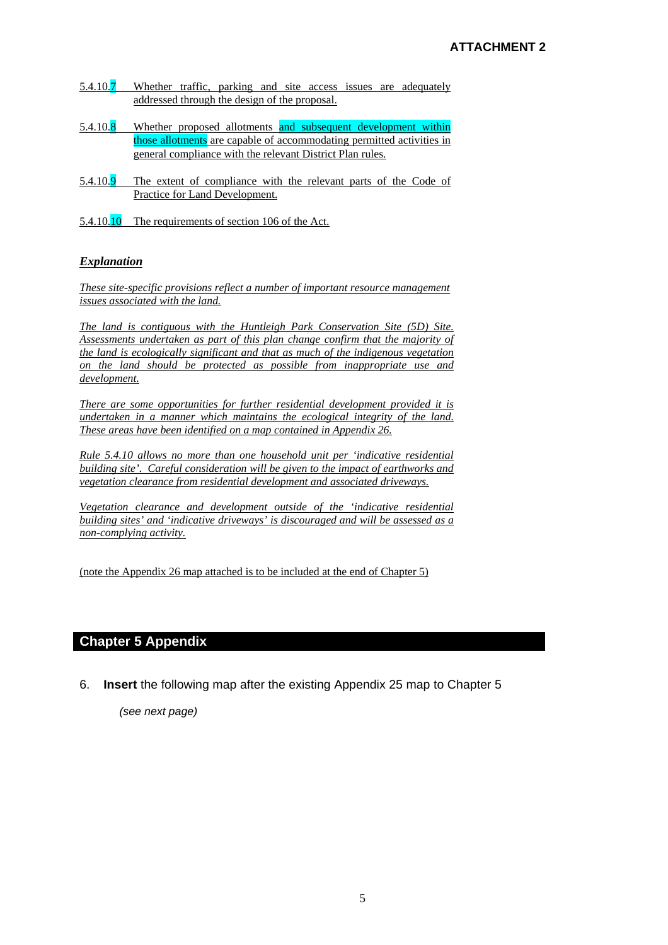- 5.4.10.7 Whether traffic, parking and site access issues are adequately addressed through the design of the proposal.
- 5.4.10.8 Whether proposed allotments and subsequent development within those allotments are capable of accommodating permitted activities in general compliance with the relevant District Plan rules.
- 5.4.10.9 The extent of compliance with the relevant parts of the Code of Practice for Land Development.
- 5.4.10.10 The requirements of section 106 of the Act.

#### *Explanation*

*These site-specific provisions reflect a number of important resource management issues associated with the land.*

*The land is contiguous with the Huntleigh Park Conservation Site (5D) Site. Assessments undertaken as part of this plan change confirm that the majority of the land is ecologically significant and that as much of the indigenous vegetation on the land should be protected as possible from inappropriate use and development.* 

*There are some opportunities for further residential development provided it is undertaken in a manner which maintains the ecological integrity of the land. These areas have been identified on a map contained in Appendix 26.* 

*Rule 5.4.10 allows no more than one household unit per 'indicative residential building site'. Careful consideration will be given to the impact of earthworks and vegetation clearance from residential development and associated driveways.*

*Vegetation clearance and development outside of the 'indicative residential building sites' and 'indicative driveways' is discouraged and will be assessed as a non-complying activity.*

(note the Appendix 26 map attached is to be included at the end of Chapter 5)

#### **Chapter 5 Appendix**

6. **Insert** the following map after the existing Appendix 25 map to Chapter 5

*(see next page)*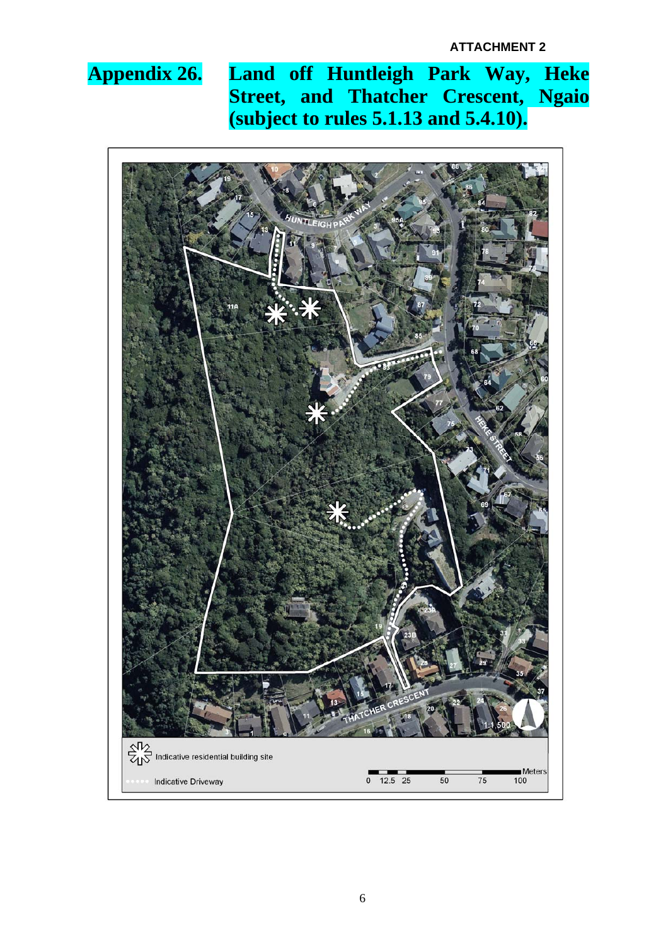# **Appendix 26. Land off Huntleigh Park Way, Heke Street, and Thatcher Crescent, Ngaio (subject to rules 5.1.13 and 5.4.10).**